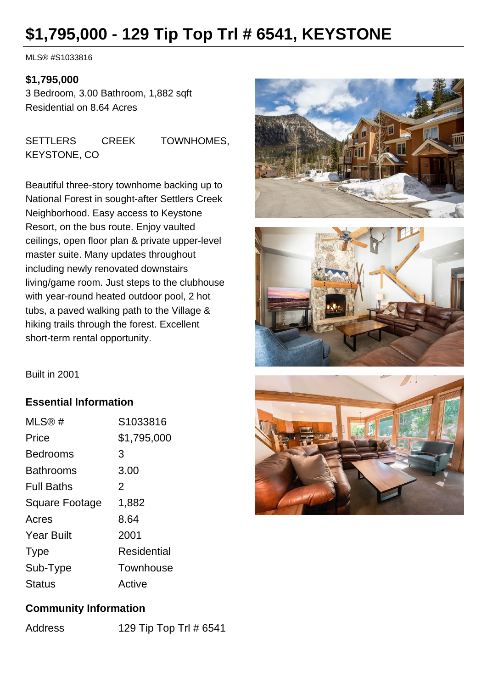# **\$1,795,000 - 129 Tip Top Trl # 6541, KEYSTONE**

MLS® #S1033816

#### **\$1,795,000**

3 Bedroom, 3.00 Bathroom, 1,882 sqft Residential on 8.64 Acres

SETTLERS CREEK TOWNHOMES, KEYSTONE, CO

Beautiful three-story townhome backing up to National Forest in sought-after Settlers Creek Neighborhood. Easy access to Keystone Resort, on the bus route. Enjoy vaulted ceilings, open floor plan & private upper-level master suite. Many updates throughout including newly renovated downstairs living/game room. Just steps to the clubhouse with year-round heated outdoor pool, 2 hot tubs, a paved walking path to the Village & hiking trails through the forest. Excellent short-term rental opportunity.





Built in 2001

### **Essential Information**

| MLS@#                 | S1033816    |
|-----------------------|-------------|
| Price                 | \$1,795,000 |
| Bedrooms              | 3           |
| Bathrooms             | 3.00        |
| <b>Full Baths</b>     | 2           |
| <b>Square Footage</b> | 1,882       |
| Acres                 | 8.64        |
| <b>Year Built</b>     | 2001        |
| <b>Type</b>           | Residential |
| Sub-Type              | Townhouse   |
| <b>Status</b>         | Active      |

## **Community Information**

Address 129 Tip Top Trl # 6541

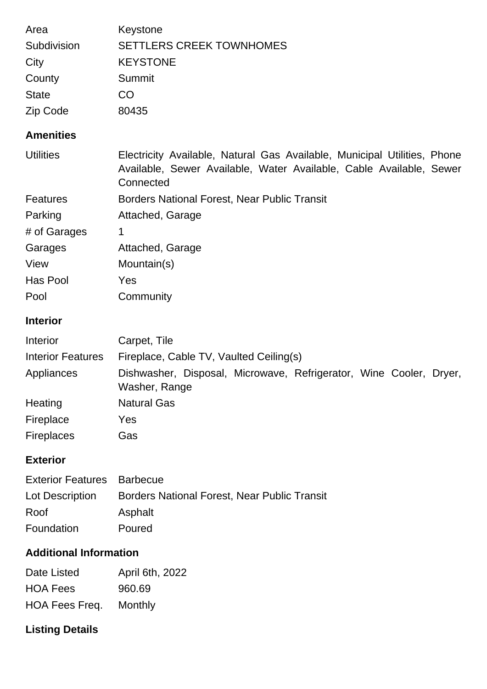| Area<br>Subdivision<br>City<br>County<br><b>State</b><br>Zip Code | Keystone<br><b>SETTLERS CREEK TOWNHOMES</b><br><b>KEYSTONE</b><br>Summit<br>CO<br>80435                                                                      |  |
|-------------------------------------------------------------------|--------------------------------------------------------------------------------------------------------------------------------------------------------------|--|
| <b>Amenities</b>                                                  |                                                                                                                                                              |  |
| <b>Utilities</b>                                                  | Electricity Available, Natural Gas Available, Municipal Utilities, Phone<br>Available, Sewer Available, Water Available, Cable Available, Sewer<br>Connected |  |
| <b>Features</b>                                                   | <b>Borders National Forest, Near Public Transit</b>                                                                                                          |  |
| Parking                                                           | Attached, Garage                                                                                                                                             |  |
| # of Garages                                                      | 1                                                                                                                                                            |  |
| Garages                                                           | Attached, Garage                                                                                                                                             |  |
| View                                                              | Mountain(s)                                                                                                                                                  |  |
| Has Pool                                                          | Yes                                                                                                                                                          |  |
| Pool                                                              | Community                                                                                                                                                    |  |
| <b>Interior</b>                                                   |                                                                                                                                                              |  |
| Interior                                                          | Carpet, Tile                                                                                                                                                 |  |
| <b>Interior Features</b>                                          | Fireplace, Cable TV, Vaulted Ceiling(s)                                                                                                                      |  |
| Appliances                                                        | Dishwasher, Disposal, Microwave, Refrigerator, Wine Cooler, Dryer,<br>Washer, Range                                                                          |  |
| Heating                                                           | <b>Natural Gas</b>                                                                                                                                           |  |
| Fireplace                                                         | Yes                                                                                                                                                          |  |
| <b>Fireplaces</b>                                                 | Gas                                                                                                                                                          |  |
| <b>Exterior</b>                                                   |                                                                                                                                                              |  |
| <b>Exterior Features</b>                                          | <b>Barbecue</b>                                                                                                                                              |  |
| Lot Description                                                   | <b>Borders National Forest, Near Public Transit</b>                                                                                                          |  |
| Roof                                                              | Asphalt                                                                                                                                                      |  |

# Foundation Poured

## **Additional Information**

| Date Listed     | April 6th, 2022 |
|-----------------|-----------------|
| <b>HOA Fees</b> | 960.69          |
| HOA Fees Freq.  | Monthly         |

# **Listing Details**